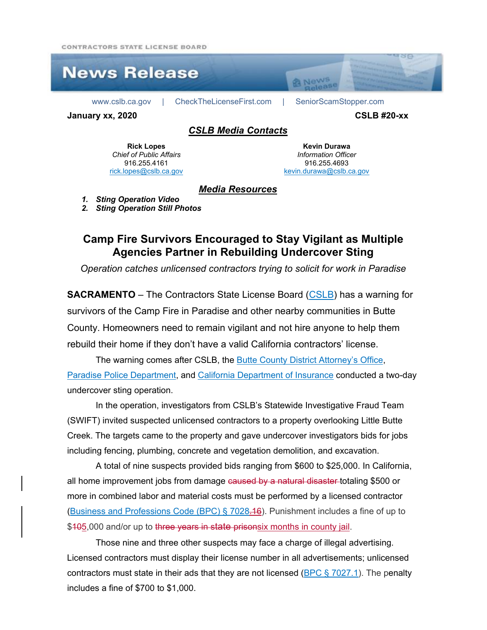CONTRACTORS STATE LICENSE ROARD



**Rick Lopes** *Chief of Public Affairs* 916.255.4161 [rick.lopes@cslb.ca.gov](mailto:rick.lopes@cslb.ca.gov)

**Kevin Durawa** *Information Officer* 916.255.4693 [kevin.durawa@cslb.ca.gov](mailto:kevin.durawa@cslb.ca.gov)

## *Media Resources*

*1. Sting Operation Video*

*2. Sting Operation Still Photos*

## **Camp Fire Survivors Encouraged to Stay Vigilant as Multiple Agencies Partner in Rebuilding Undercover Sting**

*Operation catches unlicensed contractors trying to solicit for work in Paradise*

**SACRAMENTO** – The Contractors State License Board [\(CSLB\)](http://www.cslb.ca.gov/) has a warning for survivors of the Camp Fire in Paradise and other nearby communities in Butte County. Homeowners need to remain vigilant and not hire anyone to help them rebuild their home if they don't have a valid California contractors' license.

The warning comes after CSLB, the [Butte County District Attorney's Office,](https://www.buttecounty.net/da/main.htm) [Paradise Police Department,](https://www.townofparadise.com/index.php/our-government/departments/police) and [California Department of Insurance](http://www.insurance.ca.gov/) conducted a two-day undercover sting operation.

In the operation, investigators from CSLB's Statewide Investigative Fraud Team (SWIFT) invited suspected unlicensed contractors to a property overlooking Little Butte Creek. The targets came to the property and gave undercover investigators bids for jobs including fencing, plumbing, concrete and vegetation demolition, and excavation.

A total of nine suspects provided bids ranging from \$600 to \$25,000. In California, all home improvement jobs from damage caused by a natural disaster totaling \$500 or more in combined labor and material costs must be performed by a licensed contractor [\(Business and Professions Code \(BPC\) § 7028.16\)](http://leginfo.legislature.ca.gov/faces/codes_displaySection.xhtml?sectionNum=7028.16.&lawCode=BPC). Punishment includes a fine of up to \$405,000 and/or up to three years in state prisonsix months in county jail.

Those nine and three other suspects may face a charge of illegal advertising. Licensed contractors must display their license number in all advertisements; unlicensed contractors must state in their ads that they are not licensed ( $BPC \S$  7027.1). The penalty includes a fine of \$700 to \$1,000.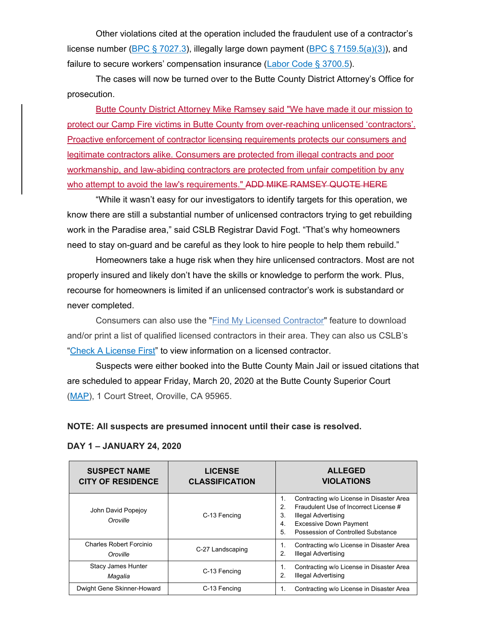Other violations cited at the operation included the fraudulent use of a contractor's license number [\(BPC § 7027.3\)](http://leginfo.legislature.ca.gov/faces/codes_displaySection.xhtml?sectionNum=7027.3.&lawCode=BPC), illegally large down payment [\(BPC § 7159.5\(a\)\(3\)\)](http://leginfo.legislature.ca.gov/faces/codes_displaySection.xhtml?sectionNum=7159.5.&lawCode=BPC), and failure to secure workers' compensation insurance [\(Labor Code § 3700.5\)](http://leginfo.legislature.ca.gov/faces/codes_displaySection.xhtml?sectionNum=3700.5.&lawCode=LAB).

The cases will now be turned over to the Butte County District Attorney's Office for prosecution.

Butte County District Attorney Mike Ramsey said "We have made it our mission to protect our Camp Fire victims in Butte County from over-reaching unlicensed 'contractors'. Proactive enforcement of contractor licensing requirements protects our consumers and legitimate contractors alike. Consumers are protected from illegal contracts and poor workmanship, and law-abiding contractors are protected from unfair competition by any who attempt to avoid the law's requirements." ADD MIKE RAMSEY QUOTE HERE

"While it wasn't easy for our investigators to identify targets for this operation, we know there are still a substantial number of unlicensed contractors trying to get rebuilding work in the Paradise area," said CSLB Registrar David Fogt. "That's why homeowners need to stay on-guard and be careful as they look to hire people to help them rebuild."

Homeowners take a huge risk when they hire unlicensed contractors. Most are not properly insured and likely don't have the skills or knowledge to perform the work. Plus, recourse for homeowners is limited if an unlicensed contractor's work is substandard or never completed.

Consumers can also use the ["Find My Licensed Contractor"](http://www.cslb.ca.gov/OnlineServices/CheckLicenseII/ZipCodeSearch.aspx) feature to download and/or print a list of qualified licensed contractors in their area. They can also us CSLB's ["Check A License First"](http://www.cslb.ca.gov/OnlineServices/CheckLicenseII/CheckLicense.aspx) to view information on a licensed contractor.

Suspects were either booked into the Butte County Main Jail or issued citations that are scheduled to appear Friday, March 20, 2020 at the Butte County Superior Court [\(MAP\)](https://www.google.com/maps/place/1+Court+St,+Oroville,+CA+95965/@39.5276283,-121.5759286,17z/data=!3m1!4b1!4m5!3m4!1s0x809cb59b021ae61d:0x68a7af024ed4ec06!8m2!3d39.5276283!4d-121.5737399), 1 Court Street, Oroville, CA 95965.

**NOTE: All suspects are presumed innocent until their case is resolved.**

| <b>SUSPECT NAME</b><br><b>CITY OF RESIDENCE</b> | <b>LICENSE</b><br><b>CLASSIFICATION</b> | <b>ALLEGED</b><br><b>VIOLATIONS</b>                                                                                                                                                                                             |
|-------------------------------------------------|-----------------------------------------|---------------------------------------------------------------------------------------------------------------------------------------------------------------------------------------------------------------------------------|
| John David Popejoy<br>Oroville                  | C-13 Fencing                            | Contracting w/o License in Disaster Area<br>1.<br>Fraudulent Use of Incorrect License #<br>$\mathcal{P}$<br>3.<br><b>Illegal Advertising</b><br><b>Excessive Down Payment</b><br>4.<br>Possession of Controlled Substance<br>5. |
| <b>Charles Robert Forcinio</b><br>Oroville      | C-27 Landscaping                        | Contracting w/o License in Disaster Area<br><b>Illegal Advertising</b><br>2.                                                                                                                                                    |
| Stacy James Hunter<br>Magalia                   | C-13 Fencing                            | Contracting w/o License in Disaster Area<br><b>Illegal Advertising</b><br>$\overline{2}$ .                                                                                                                                      |
| Dwight Gene Skinner-Howard                      | C-13 Fencing                            | Contracting w/o License in Disaster Area                                                                                                                                                                                        |

## **DAY 1 – JANUARY 24, 2020**